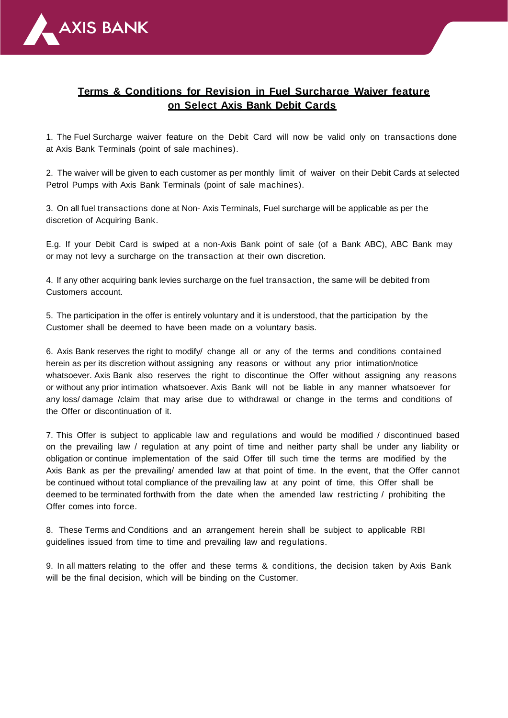

## **Terms & Conditions for Revision in Fuel Surcharge Waiver feature on Select Axis Bank Debit Cards**

1. The Fuel Surcharge waiver feature on the Debit Card will now be valid only on transactions done at Axis Bank Terminals (point of sale machines).

2. The waiver will be given to each customer as per monthly limit of waiver on their Debit Cards at selected Petrol Pumps with Axis Bank Terminals (point of sale machines).

3. On all fuel transactions done at Non- Axis Terminals, Fuel surcharge will be applicable as per the discretion of Acquiring Bank.

E.g. If your Debit Card is swiped at a non-Axis Bank point of sale (of a Bank ABC), ABC Bank may or may not levy a surcharge on the transaction at their own discretion.

4. If any other acquiring bank levies surcharge on the fuel transaction, the same will be debited from Customers account.

5. The participation in the offer is entirely voluntary and it is understood, that the participation by the Customer shall be deemed to have been made on a voluntary basis.

6. Axis Bank reserves the right to modify/ change all or any of the terms and conditions contained herein as per its discretion without assigning any reasons or without any prior intimation/notice whatsoever. Axis Bank also reserves the right to discontinue the Offer without assigning any reasons or without any prior intimation whatsoever. Axis Bank will not be liable in any manner whatsoever for any loss/ damage /claim that may arise due to withdrawal or change in the terms and conditions of the Offer or discontinuation of it.

7. This Offer is subject to applicable law and regulations and would be modified / discontinued based on the prevailing law / regulation at any point of time and neither party shall be under any liability or obligation or continue implementation of the said Offer till such time the terms are modified by the Axis Bank as per the prevailing/ amended law at that point of time. In the event, that the Offer cannot be continued without total compliance of the prevailing law at any point of time, this Offer shall be deemed to be terminated forthwith from the date when the amended law restricting / prohibiting the Offer comes into force.

8. These Terms and Conditions and an arrangement herein shall be subject to applicable RBI guidelines issued from time to time and prevailing law and regulations.

9. In all matters relating to the offer and these terms & conditions, the decision taken by Axis Bank will be the final decision, which will be binding on the Customer.